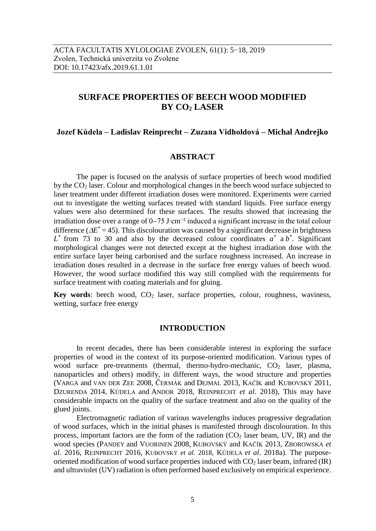# **SURFACE PROPERTIES OF BEECH WOOD MODIFIED BY CO<sup>2</sup> LASER**

### **Jozef Kúdela – Ladislav Reinprecht – Zuzana Vidholdová – Michal Andrejko**

### **ABSTRACT**

The paper is focused on the analysis of surface properties of beech wood modified by the  $CO<sub>2</sub>$  laser. Colour and morphological changes in the beech wood surface subjected to laser treatment under different irradiation doses were monitored. Experiments were carried out to investigate the wetting surfaces treated with standard liquids. Free surface energy values were also determined for these surfaces. The results showed that increasing the irradiation dose over a range of 0–75 J⋅cm<sup>-2</sup> induced a significant increase in the total colour difference ( $\Delta E^*$  = 45). This discolouration was caused by a significant decrease in brightness  $L^*$  from 73 to 30 and also by the decreased colour coordinates  $a^*$  a  $b^*$ . Significant morphological changes were not detected except at the highest irradiation dose with the entire surface layer being carbonised and the surface roughness increased. An increase in irradiation doses resulted in a decrease in the surface free energy values of beech wood. However, the wood surface modified this way still complied with the requirements for surface treatment with coating materials and for gluing.

**Key words**: beech wood, CO<sub>2</sub> laser, surface properties, colour, roughness, waviness, wetting, surface free energy

#### **INTRODUCTION**

In recent decades, there has been considerable interest in exploring the surface properties of wood in the context of its purpose-oriented modification. Various types of wood surface pre-treatments (thermal, thermo-hydro-mechanic,  $CO<sub>2</sub>$  laser, plasma, nanoparticles and others) modify, in different ways, the wood structure and properties (VARGA and VAN DER ZEE 2008, ČERMÁK and DEJMAL 2013, KAČÍK and KUBOVSKÝ 2011, DZURENDA 2014, KÚDELA and ANDOR 2018, REINPRECHT *et al*. 2018), This may have considerable impacts on the quality of the surface treatment and also on the quality of the glued joints.

Electromagnetic radiation of various wavelengths induces progressive degradation of wood surfaces, which in the initial phases is manifested through discolouration. In this process, important factors are the form of the radiation  $(CO<sub>2</sub>$  laser beam, UV, IR) and the wood species (PANDEY and VUORINEN 2008, KUBOVSKÝ and KAČÍK 2013, ZBOROWSKA *et al*. 2016, REINPRECHT 2016, KUBOVSKÝ *et al.* 2018, KÚDELA *et al*. 2018a). The purposeoriented modification of wood surface properties induced with  $CO<sub>2</sub>$  laser beam, infrared (IR) and ultraviolet (UV) radiation is often performed based exclusively on empirical experience.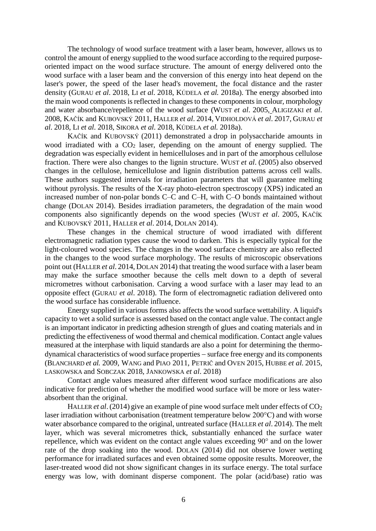The technology of wood surface treatment with a laser beam, however, allows us to control the amount of energy supplied to the wood surface according to the required purposeoriented impact on the wood surface structure. The amount of energy delivered onto the wood surface with a laser beam and the conversion of this energy into heat depend on the laser's power, the speed of the laser head's movement, the focal distance and the raster density (GURAU *et al*. 2018, LI *et al*. 2018, KÚDELA *et al.* 2018a). The energy absorbed into the main wood components is reflected in changes to these componentsin colour, morphology and water absorbance/repellence of the wood surface (WUST *et al*. 2005, ALIGIZAKI *et al*. 2008, KAČÍK and KUBOVSKÝ 2011, HALLER *et al*. 2014, VIDHOLDOVÁ *et al*. 2017, GURAU *et al*. 2018, LI *et al*. 2018, SIKORA *et al*. 2018, KÚDELA *et al.* 2018a).

KAČÍK and KUBOVSKÝ (2011) demonstrated a drop in polysaccharide amounts in wood irradiated with a  $CO<sub>2</sub>$  laser, depending on the amount of energy supplied. The degradation was especially evident in hemicelluloses and in part of the amorphous cellulose fraction. There were also changes to the lignin structure. WUST *et al*. (2005) also observed changes in the cellulose, hemicellulose and lignin distribution patterns across cell walls. These authors suggested intervals for irradiation parameters that will guarantee melting without pyrolysis. The results of the X-ray photo-electron spectroscopy (XPS) indicated an increased number of non-polar bonds C–C and C–H, with C–O bonds maintained without change (DOLAN 2014). Besides irradiation parameters, the degradation of the main wood components also significantly depends on the wood species (WUST *et al*. 2005, KAČÍK and KUBOVSKÝ 2011, HALLER *et al*. 2014, DOLAN 2014).

These changes in the chemical structure of wood irradiated with different electromagnetic radiation types cause the wood to darken. This is especially typical for the light-coloured wood species. The changes in the wood surface chemistry are also reflected in the changes to the wood surface morphology. The results of microscopic observations point out (HALLER *et al*. 2014, DOLAN 2014) that treating the wood surface with a laser beam may make the surface smoother because the cells melt down to a depth of several micrometres without carbonisation. Carving a wood surface with a laser may lead to an opposite effect (GURAU *et al*. 2018). The form of electromagnetic radiation delivered onto the wood surface has considerable influence.

Energy supplied in various forms also affects the wood surface wettability. A liquid's capacity to wet a solid surface is assessed based on the contact angle value. The contact angle is an important indicator in predicting adhesion strength of glues and coating materials and in predicting the effectiveness of wood thermal and chemical modification. Contact angle values measured at the interphase with liquid standards are also a point for determining the thermo $d$ ynamical characteristics of wood surface properties  $-$  surface free energy and its components (B[LANCHARD](http://apps.isiknowledge.com/DaisyOneClickSearch.do?product=WOS&search_mode=DaisyOneClickSearch&db_id=&SID=V1gl5CLlOIH4PDpC7HF&name=Blanchard%20V&ut=000268688300006&pos=1) *et al.* 2009, WANG and PIAO 2011, PETRIČ and OVEN 2015, HUBBE *et al.* 2015, LASKOWSKA and SOBCZAK 2018, JANKOWSKA *et al*. 2018)

Contact angle values measured after different wood surface modifications are also indicative for prediction of whether the modified wood surface will be more or less waterabsorbent than the original.

HALLER *et al.* (2014) give an example of pine wood surface melt under effects of CO<sub>2</sub> laser irradiation without carbonisation (treatment temperature below 200°C) and with worse water absorbance compared to the original, untreated surface (HALLER *et al*. 2014). The melt layer, which was several micrometres thick, substantially enhanced the surface water repellence, which was evident on the contact angle values exceeding 90° and on the lower rate of the drop soaking into the wood. DOLAN (2014) did not observe lower wetting performance for irradiated surfaces and even obtained some opposite results. Moreover, the laser-treated wood did not show significant changes in its surface energy. The total surface energy was low, with dominant disperse component. The polar (acid/base) ratio was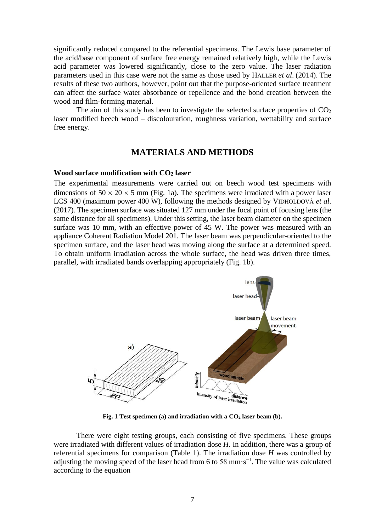significantly reduced compared to the referential specimens. The Lewis base parameter of the acid/base component of surface free energy remained relatively high, while the Lewis acid parameter was lowered significantly, close to the zero value. The laser radiation parameters used in this case were not the same as those used by HALLER *et al*. (2014). The results of these two authors, however, point out that the purpose-oriented surface treatment can affect the surface water absorbance or repellence and the bond creation between the wood and film-forming material.

The aim of this study has been to investigate the selected surface properties of  $CO<sub>2</sub>$ laser modified beech wood – discolouration, roughness variation, wettability and surface free energy.

## **MATERIALS AND METHODS**

#### **Wood surface modification with CO<sup>2</sup> laser**

The experimental measurements were carried out on beech wood test specimens with dimensions of  $50 \times 20 \times 5$  mm (Fig. 1a). The specimens were irradiated with a power laser LCS 400 (maximum power 400 W), following the methods designed by VIDHOLDOVÁ *et al*. (2017). The specimen surface was situated 127 mm under the focal point of focusing lens (the same distance for all specimens). Under this setting, the laser beam diameter on the specimen surface was 10 mm, with an effective power of 45 W. The power was measured with an appliance Coherent Radiation Model 201. The laser beam was perpendicular-oriented to the specimen surface, and the laser head was moving along the surface at a determined speed. To obtain uniform irradiation across the whole surface, the head was driven three times, parallel, with irradiated bands overlapping appropriately (Fig. 1b).



**Fig. 1 Test specimen (a) and irradiation with a CO<sup>2</sup> laser beam (b).**

There were eight testing groups, each consisting of five specimens. These groups were irradiated with different values of irradiation dose *H*. In addition, there was a group of referential specimens for comparison (Table 1). The irradiation dose *H* was controlled by adjusting the moving speed of the laser head from 6 to 58 mm⋅s<sup>-1</sup>. The value was calculated according to the equation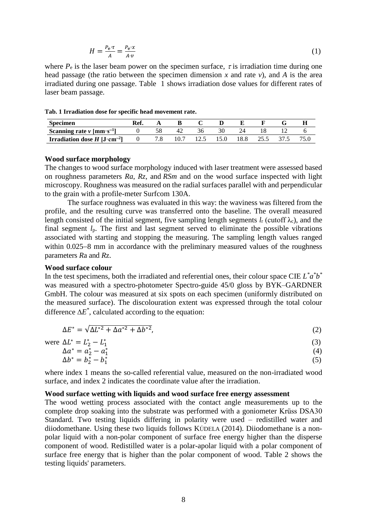$$
H = \frac{P_e \cdot \tau}{A} = \frac{P_e \cdot x}{A \cdot v} \tag{1}
$$

where  $P_e$  is the laser beam power on the specimen surface,  $\tau$  is irradiation time during one head passage (the ratio between the specimen dimension  $x$  and rate  $v$ ), and  $A$  is the area irradiated during one passage. Table 1 shows irradiation dose values for different rates of laser beam passage.

**Tab. 1 Irradiation dose for specific head movement rate.**

| <b>Specimen</b>                                         |  |  |      |      |  |  |
|---------------------------------------------------------|--|--|------|------|--|--|
| Scanning rate $\nu$ [mm·s <sup>-1</sup> ]               |  |  |      |      |  |  |
| <b>Irradiation dose H</b> [J $\cdot$ cm <sup>-2</sup> ] |  |  | 15.0 | 18.8 |  |  |

#### **Wood surface morphology**

The changes to wood surface morphology induced with laser treatment were assessed based on roughness parameters *Ra*, *Rz*, and *RSm* and on the wood surface inspected with light microscopy. Roughness was measured on the radial surfaces parallel with and perpendicular to the grain with a profile-meter Surfcom 130A.

The surface roughness was evaluated in this way: the waviness was filtered from the profile, and the resulting curve was transferred onto the baseline. The overall measured length consisted of the initial segment, five sampling length segments  $l_r$  (cutoff  $\lambda_c$ ), and the final segment *l*p. The first and last segment served to eliminate the possible vibrations associated with starting and stopping the measuring. The sampling length values ranged within  $0.025-8$  mm in accordance with the preliminary measured values of the roughness parameters *R*a and *R*z.

#### **Wood surface colour**

In the test specimens, both the irradiated and referential ones, their colour space CIE  $L^* a^* b^*$ was measured with a spectro-photometer Spectro-guide 45/0 gloss by BYK–GARDNER GmbH. The colour was measured at six spots on each specimen (uniformly distributed on the measured surface). The discolouration extent was expressed through the total colour difference  $\Delta E^*$ , calculated according to the equation:

$$
\Delta E^* = \sqrt{\Delta L^{*2} + \Delta a^{*2} + \Delta b^{*2}},\tag{2}
$$

(3)

were  $\Delta L^* = L_2^* - L_1^*$ 

$$
\Delta a^* = a_2^* - a_1^* \tag{4}
$$
\n
$$
\Delta b^* - b^* - b^* \tag{5}
$$

$$
\Delta b^* = b_2^* - b_1^* \tag{5}
$$

where index 1 means the so-called referential value, measured on the non-irradiated wood surface, and index 2 indicates the coordinate value after the irradiation.

#### **Wood surface wetting with liquids and wood surface free energy assessment**

The wood wetting process associated with the contact angle measurements up to the complete drop soaking into the substrate was performed with a goniometer Krüss DSA30 Standard. Two testing liquids differing in polarity were used – redistilled water and diiodomethane. Using these two liquids follows KÚDELA (2014). Diiodomethane is a nonpolar liquid with a non-polar component of surface free energy higher than the disperse component of wood. Redistilled water is a polar-apolar liquid with a polar component of surface free energy that is higher than the polar component of wood. Table 2 shows the testing liquids' parameters.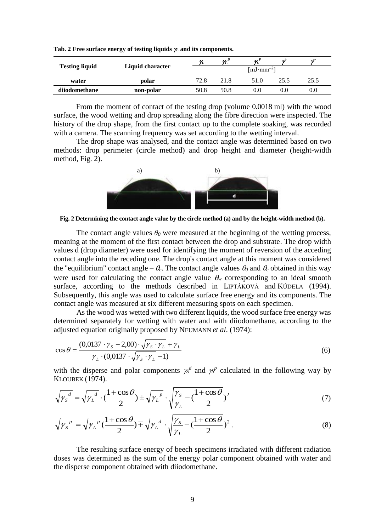| <b>Testing liquid</b> |                  | ν    | $\boldsymbol{\mathcal{H}}^D$      | $\mathcal{U}$ |      | $\mathbf{v}$ |  |  |
|-----------------------|------------------|------|-----------------------------------|---------------|------|--------------|--|--|
|                       | Liquid character |      | $\lceil mJ \cdot m m^{-2} \rceil$ |               |      |              |  |  |
| water                 | polar            | 72.8 | 21.8                              | 51.0          | 25.5 | 25.5         |  |  |
| diiodomethane         | non-polar        | 50.8 | 50.8                              | 0.0           | 0.0  | 0.0          |  |  |

Tab. 2 Free surface energy of testing liquids  $\mu$  and its components.

From the moment of contact of the testing drop (volume 0.0018 ml) with the wood surface, the wood wetting and drop spreading along the fibre direction were inspected. The history of the drop shape, from the first contact up to the complete soaking, was recorded with a camera. The scanning frequency was set according to the wetting interval.

The drop shape was analysed, and the contact angle was determined based on two methods: drop perimeter (circle method) and drop height and diameter (height-width method, Fig. 2).



**Fig. 2 Determining the contact angle value by the circle method (a) and by the height-width method (b).**

The contact angle values  $\theta_0$  were measured at the beginning of the wetting process, meaning at the moment of the first contact between the drop and substrate. The drop width values d (drop diameter) were used for identifying the moment of reversion of the acceding contact angle into the receding one. The drop's contact angle at this moment was considered the "equilibrium" contact angle –  $\theta_e$ . The contact angle values  $\theta_0$  and  $\theta_e$  obtained in this way were used for calculating the contact angle value  $\theta_w$  corresponding to an ideal smooth surface, according to the methods described in LIPTÁKOVÁ and KÚDELA (1994). Subsequently, this angle was used to calculate surface free energy and its components. The contact angle was measured at six different measuring spots on each specimen.

As the wood was wetted with two different liquids, the wood surface free energy was determined separately for wetting with water and with diiodomethane, according to the adjusted equation originally proposed by NEUMANN *et al*. (1974):

$$
\cos \theta = \frac{(0.0137 \cdot \gamma_s - 2.00) \cdot \sqrt{\gamma_s \cdot \gamma_L} + \gamma_L}{\gamma_L \cdot (0.0137 \cdot \sqrt{\gamma_s \cdot \gamma_L} - 1)}
$$
(6)

with the disperse and polar components  $\chi^{d}$  and  $\chi^{p}$  calculated in the following way by KLOUBEK (1974).

$$
\sqrt{\gamma_S}^d = \sqrt{\gamma_L}^d \cdot (\frac{1 + \cos \theta}{2}) \pm \sqrt{\gamma_L}^p \cdot \sqrt{\frac{\gamma_S}{\gamma_L} - (\frac{1 + \cos \theta}{2})^2}
$$
(7)

$$
\sqrt{{\gamma_s}^p} = \sqrt{{\gamma_L}^p} \left(\frac{1 + \cos \theta}{2}\right) \mp \sqrt{{\gamma_L}^d} \cdot \sqrt{\frac{{\gamma_s}}{\gamma_L} - \left(\frac{1 + \cos \theta}{2}\right)^2} \,. \tag{8}
$$

The resulting surface energy of beech specimens irradiated with different radiation doses was determined as the sum of the energy polar component obtained with water and the disperse component obtained with diiodomethane.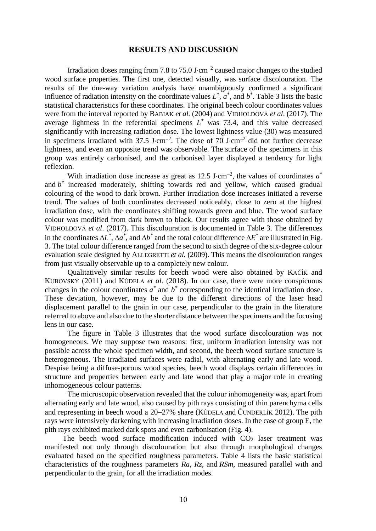### **RESULTS AND DISCUSSION**

Irradiation doses ranging from 7.8 to  $75.0$  J $\cdot$ cm<sup>-2</sup> caused major changes to the studied wood surface properties. The first one, detected visually, was surface discolouration. The results of the one-way variation analysis have unambiguously confirmed a significant influence of radiation intensity on the coordinate values  $L^*$ ,  $a^*$ , and  $b^*$ . Table 3 lists the basic statistical characteristics for these coordinates. The original beech colour coordinates values were from the interval reported by BABIAK *et al.* (2004) and VIDHOLDOVÁ *et al*. (2017). The average lightness in the referential specimens  $L^*$  was 73.4, and this value decreased significantly with increasing radiation dose. The lowest lightness value (30) was measured in specimens irradiated with  $37.5$  J $\cdot$ cm<sup>-2</sup>. The dose of 70 J $\cdot$ cm<sup>-2</sup> did not further decrease lightness, and even an opposite trend was observable. The surface of the specimens in this group was entirely carbonised, and the carbonised layer displayed a tendency for light reflexion.

With irradiation dose increase as great as  $12.5 \text{ J}\cdot\text{cm}^{-2}$ , the values of coordinates  $a^*$ and *b \** increased moderately, shifting towards red and yellow, which caused gradual colouring of the wood to dark brown. Further irradiation dose increases initiated a reverse trend. The values of both coordinates decreased noticeably, close to zero at the highest irradiation dose, with the coordinates shifting towards green and blue. The wood surface colour was modified from dark brown to black. Our results agree with those obtained by VIDHOLDOVÁ *et al*. (2017). This discolouration is documented in Table 3. The differences in the coordinates  $\Delta L^*$ ,  $\Delta a^*$ , and  $\Delta b^*$  and the total colour difference  $\Delta E^*$  are illustrated in Fig. 3. The total colour difference ranged from the second to sixth degree of the six-degree colour evaluation scale designed by ALLEGRETTI *et al.* (2009). This means the discolouration ranges from just visually observable up to a completely new colour.

Qualitatively similar results for beech wood were also obtained by KAČÍK and KUBOVSKÝ (2011) and KÚDELA *et al*. (2018). In our case, there were more conspicuous changes in the colour coordinates  $a^*$  and  $b^*$  corresponding to the identical irradiation dose. These deviation, however, may be due to the different directions of the laser head displacement parallel to the grain in our case, perpendicular to the grain in the literature referred to above and also due to the shorter distance between the specimens and the focusing lens in our case.

The figure in Table 3 illustrates that the wood surface discolouration was not homogeneous. We may suppose two reasons: first, uniform irradiation intensity was not possible across the whole specimen width, and second, the beech wood surface structure is heterogeneous. The irradiated surfaces were radial, with alternating early and late wood. Despise being a diffuse-porous wood species, beech wood displays certain differences in structure and properties between early and late wood that play a major role in creating inhomogeneous colour patterns.

The microscopic observation revealed that the colour inhomogeneity was, apart from alternating early and late wood, also caused by pith rays consisting of thin parenchyma cells and representing in beech wood a  $20-27\%$  share (KÚDELA and ČUNDERLÍK 2012). The pith rays were intensively darkening with increasing irradiation doses. In the case of group E, the pith rays exhibited marked dark spots and even carbonisation (Fig. 4).

The beech wood surface modification induced with  $CO<sub>2</sub>$  laser treatment was manifested not only through discolouration but also through morphological changes evaluated based on the specified roughness parameters. Table 4 lists the basic statistical characteristics of the roughness parameters *Ra*, *Rz*, and *RSm*, measured parallel with and perpendicular to the grain, for all the irradiation modes.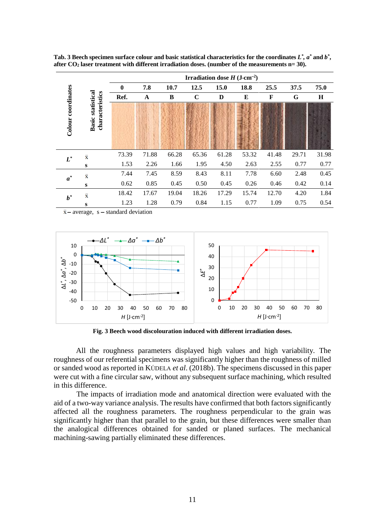|                       |                                                | Irradiation dose $H$ (J $\cdot$ cm <sup>-2</sup> ) |             |       |             |       |       |             |       |         |  |  |
|-----------------------|------------------------------------------------|----------------------------------------------------|-------------|-------|-------------|-------|-------|-------------|-------|---------|--|--|
|                       |                                                | $\boldsymbol{0}$                                   | 7.8         | 10.7  | 12.5        | 15.0  | 18.8  | 25.5        | 37.5  | 75.0    |  |  |
|                       |                                                | Ref.                                               | $\mathbf A$ | B     | $\mathbf C$ | D     | E     | $\mathbf F$ | G     | $\bf H$ |  |  |
| coordinates<br>Colour | statistical<br>characteristics<br><b>Basic</b> |                                                    |             |       |             |       |       |             |       |         |  |  |
| $L^*$                 | $\overline{\mathbf{x}}$                        | 73.39                                              | 71.88       | 66.28 | 65.36       | 61.28 | 53.32 | 41.48       | 29.71 | 31.98   |  |  |
|                       | S                                              | 1.53                                               | 2.26        | 1.66  | 1.95        | 4.50  | 2.63  | 2.55        | 0.77  | 0.77    |  |  |
| $a^*$                 | $\overline{\mathbf{x}}$                        | 7.44                                               | 7.45        | 8.59  | 8.43        | 8.11  | 7.78  | 6.60        | 2.48  | 0.45    |  |  |
|                       | S                                              | 0.62                                               | 0.85        | 0.45  | 0.50        | 0.45  | 0.26  | 0.46        | 0.42  | 0.14    |  |  |
| $b^*$                 | $\overline{\mathbf{x}}$                        | 18.42                                              | 17.67       | 19.04 | 18.26       | 17.29 | 15.74 | 12.70       | 4.20  | 1.84    |  |  |
|                       | S                                              | 1.23                                               | 1.28        | 0.79  | 0.84        | 1.15  | 0.77  | 1.09        | 0.75  | 0.54    |  |  |

Tab. 3 Beech specimen surface colour and basic statistical characteristics for the coordinates  $L^*$ ,  $a^*$  and  $b^*$ , **after CO<sup>2</sup> laser treatment with different irradiation doses. (number of the measurements n= 30).**

 $\bar{x}$  – average, s – standard deviation



**Fig. 3 Beech wood discolouration induced with different irradiation doses.**

All the roughness parameters displayed high values and high variability. The roughness of our referential specimens was significantly higher than the roughness of milled or sanded wood as reported in KÚDELA *et al*. (2018b). The specimens discussed in this paper were cut with a fine circular saw, without any subsequent surface machining, which resulted in this difference.

The impacts of irradiation mode and anatomical direction were evaluated with the aid of a two-way variance analysis. The results have confirmed that both factors significantly affected all the roughness parameters. The roughness perpendicular to the grain was significantly higher than that parallel to the grain, but these differences were smaller than the analogical differences obtained for sanded or planed surfaces. The mechanical machining-sawing partially eliminated these differences.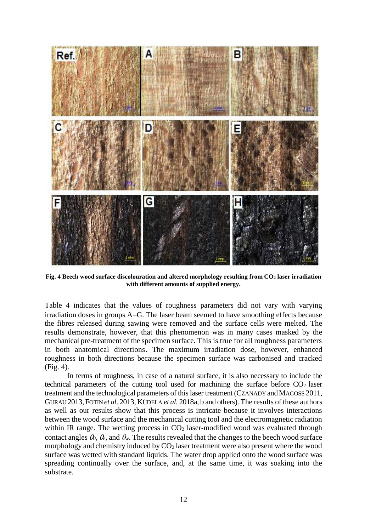

**Fig. 4 Beech wood surface discolouration and altered morphology resulting from CO<sup>2</sup> laser irradiation with different amounts of supplied energy.**

Table 4 indicates that the values of roughness parameters did not vary with varying  $irradiation$  doses in groups  $A-G$ . The laser beam seemed to have smoothing effects because the fibres released during sawing were removed and the surface cells were melted. The results demonstrate, however, that this phenomenon was in many cases masked by the mechanical pre-treatment of the specimen surface. This is true for all roughness parameters in both anatomical directions. The maximum irradiation dose, however, enhanced roughness in both directions because the specimen surface was carbonised and cracked (Fig. 4).

In terms of roughness, in case of a natural surface, it is also necessary to include the technical parameters of the cutting tool used for machining the surface before  $CO<sub>2</sub>$  laser treatment and the technological parameters of this laser treatment (CZANADY andMAGOSS 2011, GURAU 2013,FOTIN *et al*. 2013, KÚDELA *et al.* 2018a, b and others). The results of these authors as well as our results show that this process is intricate because it involves interactions between the wood surface and the mechanical cutting tool and the electromagnetic radiation within IR range. The wetting process in  $CO<sub>2</sub>$  laser-modified wood was evaluated through contact angles  $\theta_0$ ,  $\theta_e$ , and  $\theta_w$ . The results revealed that the changes to the beech wood surface morphology and chemistry induced by  $CO<sub>2</sub>$  laser treatment were also present where the wood surface was wetted with standard liquids. The water drop applied onto the wood surface was spreading continually over the surface, and, at the same time, it was soaking into the substrate.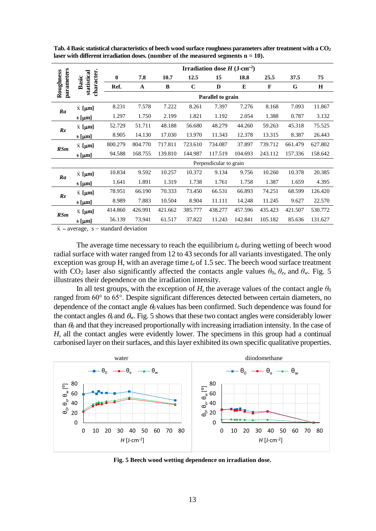|                         |                                    | <b>Irradiation dose H</b> ( $J\text{-cm}^{-2}$ ) |         |         |             |                        |         |         |         |         |  |
|-------------------------|------------------------------------|--------------------------------------------------|---------|---------|-------------|------------------------|---------|---------|---------|---------|--|
| parameters<br>Roughness |                                    | $\mathbf{0}$                                     | 7.8     | 10.7    | 12.5        | 15                     | 18.8    | 25.5    | 37.5    | 75      |  |
|                         | character.<br>statistical<br>Basic | Ref.                                             | A       | B       | $\mathbf C$ | D                      | E       | F       | G       | $\bf H$ |  |
|                         |                                    | Parallel to grain                                |         |         |             |                        |         |         |         |         |  |
| Ra                      | $\bar{x}$ [µm]                     | 8.231                                            | 7.578   | 7.222   | 8.261       | 7.397                  | 7.276   | 8.168   | 7.093   | 11.867  |  |
|                         | s [µm]                             | 1.297                                            | 1.750   | 2.199   | 1.821       | 1.192                  | 2.054   | 1.388   | 0.787   | 3.132   |  |
| Rz                      | $\bar{x}$ [µm]                     | 52.729                                           | 51.711  | 48.188  | 56.680      | 48.279                 | 44.260  | 59.263  | 45.318  | 75.525  |  |
|                         | $s$ [µm]                           | 8.905                                            | 14.130  | 17.030  | 13.970      | 11.343                 | 12.378  | 13.315  | 8.387   | 26.443  |  |
|                         | $\bar{x}$ [µm]                     | 800.279                                          | 804.770 | 717.811 | 723.610     | 734.087                | 37.897  | 739.712 | 661.479 | 627.802 |  |
| <b>RSm</b>              | $s$ [ $\mu$ m]                     | 94.588                                           | 168.755 | 139.810 | 144.987     | 117.519                | 104.693 | 243.112 | 157.336 | 158.642 |  |
|                         |                                    |                                                  |         |         |             | Perpendicular to grain |         |         |         |         |  |
| Ra                      | $\bar{x}$ [µm]                     | 10.834                                           | 9.592   | 10.257  | 10.372      | 9.134                  | 9.756   | 10.260  | 10.378  | 20.385  |  |
|                         | s [µm]                             | 1.641                                            | 1.891   | 1.319   | 1.738       | 1.761                  | 1.758   | 1.387   | 1.659   | 4.395   |  |
| Rz                      | $\bar{x}$ [ $\mu$ m]               | 78.951                                           | 66.190  | 70.333  | 73.450      | 66.531                 | 66.893  | 74.251  | 68.599  | 126.420 |  |
|                         | $s$ [µm]                           | 8.989                                            | 7.883   | 10.504  | 8.904       | 11.111                 | 14.248  | 11.245  | 9.627   | 22.570  |  |
| RSm                     | $\bar{x}$ [µm]                     | 414.860                                          | 426.991 | 421.662 | 385.777     | 438.277                | 457.596 | 435.423 | 421.507 | 530.772 |  |
|                         | s $[µm]$                           | 56.139                                           | 73.941  | 61.517  | 37.822      | 11.243                 | 142.841 | 105.182 | 85.636  | 131.627 |  |
|                         |                                    |                                                  |         |         |             |                        |         |         |         |         |  |

**Tab. 4 Basic statistical characteristics of beech wood surface roughness parameters after treatment with a CO<sup>2</sup>** laser with different irradiation doses. (number of the measured segments  $n = 10$ ).

 $\bar{x}$  – average, s – standard deviation

The average time necessary to reach the equilibrium *t<sup>e</sup>* during wetting of beech wood radial surface with water ranged from 12 to 43 seconds for all variants investigated. The only exception was group H, with an average time *t<sup>e</sup>* of 1.5 sec. The beech wood surface treatment with CO<sub>2</sub> laser also significantly affected the contacts angle values  $\theta_0$ ,  $\theta_e$ , and  $\theta_w$ . Fig. 5 illustrates their dependence on the irradiation intensity.

In all test groups, with the exception of *H*, the average values of the contact angle  $\theta_0$ ranged from 60° to 65°. Despite significant differences detected between certain diameters, no dependence of the contact angle *<sup>0</sup>* values has been confirmed. Such dependence was found for the contact angles  $\theta_e$  and  $\theta_w$ . Fig. 5 shows that these two contact angles were considerably lower than  $\theta_0$  and that they increased proportionally with increasing irradiation intensity. In the case of *H,* all the contact angles were evidently lower. The specimens in this group had a continual carbonised layer on their surfaces, and this layer exhibited its own specific qualitative properties.



**Fig. 5 Beech wood wetting dependence on irradiation dose.**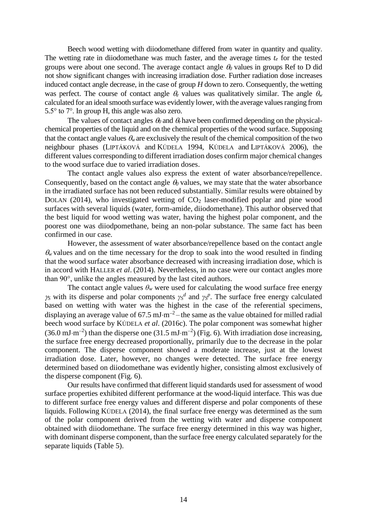Beech wood wetting with diiodomethane differed from water in quantity and quality. The wetting rate in diiodomethane was much faster, and the average times *t<sup>e</sup>* for the tested groups were about one second. The average contact angle  $\theta_0$  values in groups Ref to D did not show significant changes with increasing irradiation dose. Further radiation dose increases induced contact angle decrease, in the case of group *H* down to zero. Consequently, the wetting was perfect. The course of contact angle  $\theta_e$  values was qualitatively similar. The angle  $\theta_e$ calculated for an ideal smooth surface was evidently lower, with the average values ranging from 5.5° to 7°. In group H, this angle was also zero.

The values of contact angles  $\theta_0$  and  $\theta_e$  have been confirmed depending on the physicalchemical properties of the liquid and on the chemical properties of the wood surface. Supposing that the contact angle values  $\theta_w$  are exclusively the result of the chemical composition of the two neighbour phases (LIPTÁKOVÁ and KÚDELA 1994, KÚDELA and LIPTÁKOVÁ 2006), the different values corresponding to different irradiation doses confirm major chemical changes to the wood surface due to varied irradiation doses.

The contact angle values also express the extent of water absorbance/repellence. Consequently, based on the contact angle  $\theta_0$  values, we may state that the water absorbance in the irradiated surface has not been reduced substantially. Similar results were obtained by DOLAN (2014), who investigated wetting of  $CO<sub>2</sub>$  laser-modified poplar and pine wood surfaces with several liquids (water, form-amide, diiodomethane). This author observed that the best liquid for wood wetting was water, having the highest polar component, and the poorest one was diiodpomethane, being an non-polar substance. The same fact has been confirmed in our case.

However, the assessment of water absorbance/repellence based on the contact angle  $\theta_{\nu}$  values and on the time necessary for the drop to soak into the wood resulted in finding that the wood surface water absorbance decreased with increasing irradiation dose, which is in accord with HALLER *et al*. (2014). Nevertheless, in no case were our contact angles more than 90°, unlike the angles measured by the last cited authors.

The contact angle values  $\theta_w$  were used for calculating the wood surface free energy  $\gamma_S$  with its disperse and polar components  $\gamma_S^d$  and  $\gamma_S^p$ . The surface free energy calculated based on wetting with water was the highest in the case of the referential specimens, displaying an average value of 67.5 mJ $\cdot$ m<sup>-2</sup> – the same as the value obtained for milled radial beech wood surface by KÚDELA *et al*. (2016c). The polar component was somewhat higher  $(36.0 \text{ mJ} \cdot \text{m}^{-2})$  than the disperse one  $(31.5 \text{ mJ} \cdot \text{m}^{-2})$  (Fig. 6). With irradiation dose increasing, the surface free energy decreased proportionally, primarily due to the decrease in the polar component. The disperse component showed a moderate increase, just at the lowest irradiation dose. Later, however, no changes were detected. The surface free energy determined based on diiodomethane was evidently higher, consisting almost exclusively of the disperse component (Fig. 6).

Our results have confirmed that different liquid standards used for assessment of wood surface properties exhibited different performance at the wood-liquid interface. This was due to different surface free energy values and different disperse and polar components of these liquids. Following KÚDELA (2014), the final surface free energy was determined as the sum of the polar component derived from the wetting with water and disperse component obtained with diiodomethane. The surface free energy determined in this way was higher, with dominant disperse component, than the surface free energy calculated separately for the separate liquids (Table 5).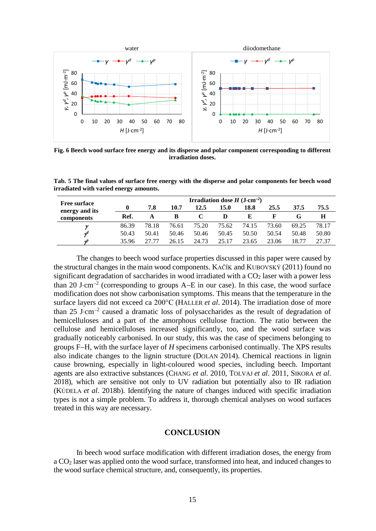

**Fig. 6 Beech wood surface free energy and its disperse and polar component corresponding to different irradiation doses.**

**Tab. 5 The final values of surface free energy with the disperse and polar components for beech wood irradiated with varied energy amounts.**

| <b>Free surface</b> | Irradiation dose $H$ (J $\,\mathrm{cm}^{-2}$ ) |       |       |       |       |       |       |       |       |  |
|---------------------|------------------------------------------------|-------|-------|-------|-------|-------|-------|-------|-------|--|
| energy and its      |                                                | 7.8   | 10.7  | 12.5  | 15.0  | 18.8  | 25.5  | 37.5  | 75.5  |  |
| components          | Ref.                                           |       | B     |       | D     | Е     |       |       | Н     |  |
|                     | 86.39                                          | 78.18 | 76.61 | 75.20 | 75.62 | 74.15 | 73.60 | 69.25 | 78.17 |  |
| $\boldsymbol{\eta}$ | 50.43                                          | 50.41 | 50.46 | 50.46 | 50.45 | 50.50 | 50.54 | 50.48 | 50.80 |  |
| ۸P                  | 35.96                                          |       | 26.15 | 24.73 | 25.17 | 23.65 | 23.06 | 18.77 | 27.37 |  |

The changes to beech wood surface properties discussed in this paper were caused by the structural changes in the main wood components. KAČÍK and KUBOVSKÝ (2011) found no significant degradation of saccharides in wood irradiated with a  $CO<sub>2</sub>$  laser with a power less than 20 J $\cdot$ cm<sup>-2</sup> (corresponding to groups A–E in our case). In this case, the wood surface modification does not show carbonisation symptoms. This means that the temperature in the surface layers did not exceed ca 200°C (HALLER *et al*. 2014). The irradiation dose of more than  $25 \text{ J}\cdot\text{cm}^{-2}$  caused a dramatic loss of polysaccharides as the result of degradation of hemicelluloses and a part of the amorphous cellulose fraction. The ratio between the cellulose and hemicelluloses increased significantly, too, and the wood surface was gradually noticeably carbonised. In our study, this was the case of specimens belonging to groups FH, with the surface layer of *H* specimens carbonised continually. The XPS results also indicate changes to the lignin structure (DOLAN 2014). Chemical reactions in lignin cause browning, especially in light-coloured wood species, including beech. Important agents are also extractive substances (CHANG *et al*. 2010, TOLVAJ *et al*. 2011, SIKORA *et al*. 2018), which are sensitive not only to UV radiation but potentially also to IR radiation (KÚDELA *et al*. 2018b). Identifying the nature of changes induced with specific irradiation types is not a simple problem. To address it, thorough chemical analyses on wood surfaces treated in this way are necessary.

#### **CONCLUSION**

In beech wood surface modification with different irradiation doses, the energy from a CO<sup>2</sup> laser was applied onto the wood surface, transformed into heat, and induced changes to the wood surface chemical structure, and, consequently, its properties.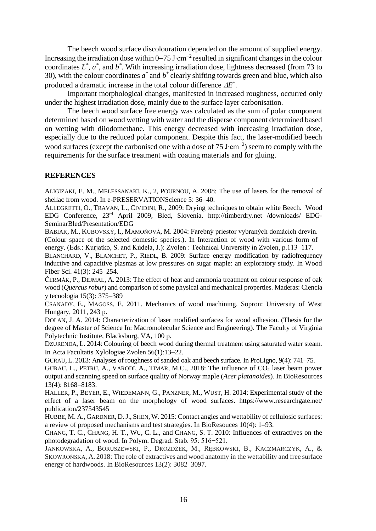The beech wood surface discolouration depended on the amount of supplied energy. Increasing the irradiation dose within  $0-75$  J⋅cm<sup>-2</sup> resulted in significant changes in the colour coordinates  $L^*$ ,  $a^*$ , and  $b^*$ . With increasing irradiation dose, lightness decreased (from 73 to 30), with the colour coordinates  $a^*$  and  $b^*$  clearly shifting towards green and blue, which also produced a dramatic increase in the total colour difference  $\Delta E^*$ .

Important morphological changes, manifested in increased roughness, occurred only under the highest irradiation dose, mainly due to the surface layer carbonisation.

The beech wood surface free energy was calculated as the sum of polar component determined based on wood wetting with water and the disperse component determined based on wetting with diiodomethane. This energy decreased with increasing irradiation dose, especially due to the reduced polar component. Despite this fact, the laser-modified beech wood surfaces (except the carbonised one with a dose of 75 J⋅cm<sup>-2</sup>) seem to comply with the requirements for the surface treatment with coating materials and for gluing.

#### **REFERENCES**

ALIGIZAKI, E. M., MELESSANAKI, K., 2, POURNOU, A. 2008: The use of lasers for the removal of shellac from wood. In e-PRESERVATIONScience 5: 36–40.

ALLEGRETTI, O., TRAVAN, L., CIVIDINI, R., 2009: Drying techniques to obtain white Beech. Wood EDG Conference, 23rd April 2009, Bled, Slovenia. http://timberdry.net /downloads/ EDG-SeminarBled/Presentation/EDG

BABIAK, M., KUBOVSKÝ, I., MAMOŇOVÁ, M. 2004: Farebný priestor vybraných domácich drevín. (Colour space of the selected domestic species.). In Interaction of wood with various form of energy. (Eds.: Kurjatko, S. and Kúdela, J.): Zvolen : Technical University in Zvolen, p.113–117.

B[LANCHARD](http://apps.isiknowledge.com/DaisyOneClickSearch.do?product=WOS&search_mode=DaisyOneClickSearch&db_id=&SID=V1gl5CLlOIH4PDpC7HF&name=Blanchard%20V&ut=000268688300006&pos=1), V., B[LANCHET](http://apps.isiknowledge.com/DaisyOneClickSearch.do?product=WOS&search_mode=DaisyOneClickSearch&db_id=&SID=V1gl5CLlOIH4PDpC7HF&name=Blanchet%20P&ut=000268688300006&pos=2), P., R[IEDL](http://apps.isiknowledge.com/DaisyOneClickSearch.do?product=WOS&search_mode=DaisyOneClickSearch&db_id=&SID=V1gl5CLlOIH4PDpC7HF&name=Riedl%20B&ut=000268688300006&pos=3), B. 2009: Surface energy modification by radiofrequency inductive and capacitive plasmas at low pressures on sugar maple: an exploratory study. In Wood Fiber Sci. 41(3): 245–254.

ČERMÁK, P., DEJMAL, A. 2013: The effect of heat and ammonia treatment on colour response of oak wood (*Quercus robur*) and comparison of some physical and mechanical properties. Maderas: Ciencia v tecnologia  $15(3)$ : 375–389

CSANADY, E., MAGOSS, E. 2011. Mechanics of wood machining. Sopron: University of West Hungary, 2011, 243 p.

DOLAN, J. A. 2014: Characterization of laser modified surfaces for wood adhesion. (Thesis for the degree of Master of Science In: Macromolecular Science and Engineering). The Faculty of Virginia Polytechnic Institute, Blacksburg, VA, 100 p.

DZURENDA, L. 2014: Colouring of beech wood during thermal treatment using saturated water steam. In Acta Facultatis Xylologiae Zvolen 56(1):13-22.

GURAU, L. 2013: Analyses of roughness of sanded oak and beech surface. In ProLigno, 9(4): 741–75.

GURAU, L., PETRU, A., VARODI, A., TIMAR, M.C., 2018: The influence of  $CO<sub>2</sub>$  laser beam power output and scanning speed on surface quality of Norway maple (*Acer platanoides*). In BioResources  $13(4)$ : 8168-8183.

HALLER, P., BEYER, E., WIEDEMANN, G., PANZNER, M., WUST, H. 2014: Experimental study of the effect of a laser beam on the morphology of wood surfaces. https:/[/www.researchgate.net/](http://www.researchgate.net/) publication/237543545

HUBBE, M. A., GARDNER, D. J., SHEN, W. 2015: Contact angles and wettability of cellulosic surfaces: a review of proposed mechanisms and test strategies. In BioResouces 10(4): 1–93.

CHANG, T. C., CHANG, H. T., WU, C. L., and CHANG, S. T. 2010: Influences of extractives on the photodegradation of wood. In Polym. Degrad. Stab. 95: 516−521.

JANKOWSKA, A., BORUSZEWSKI, P., DROŻDŻEK, M., RĘBKOWSKI, B., KACZMARCZYK, A., & SKOWROŃSKA, A. 2018: The role of extractives and wood anatomy in the wettability and free surface energy of hardwoods. In BioResources 13(2): 3082–3097.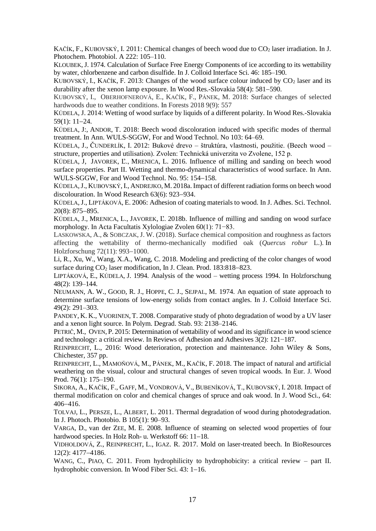KAČÍK, F., KUBOVSKÝ, I. 2011: Chemical changes of beech wood due to CO<sub>2</sub> laser irradiation. In J. Photochem. Photobiol. A 222: 105–110.

KLOUBEK, J. 1974. Calculation of Surface Free Energy Components of ice according to its wettability by water, chlorbenzene and carbon disulfide. In J. Colloid Interface Sci. 46: 185–190.

KUBOVSKÝ, I., KAČÍK, F. 2013: Changes of the wood surface colour induced by  $CO<sub>2</sub>$  laser and its durability after the xenon lamp exposure. In Wood Res.-Slovakia  $58(4)$ :  $581-590$ .

K[UBOVSKÝ](https://www.mdpi.com/search?authors=Ivan%20Kubovsk%C3%BD&orcid=), I., O[BERHOFNEROVÁ](https://www.mdpi.com/search?authors=Eli%C5%A1ka%20Oberhofnerov%C3%A1&orcid=), E., KAČÍK, F., PÁNEK, M. 2018: Surface changes of selected hardwoods due to weather conditions. In Forests 2018 9(9): 557

KÚDELA, J. 2014: Wetting of wood surface by liquids of a different polarity. In Wood Res.-Slovakia  $59(1): 11-24.$ 

KÚDELA, J:, ANDOR, T. 2018: Beech wood discoloration induced with specific modes of thermal treatment. In Ann. WULS-SGGW, For and Wood Technol. No 103: 64–69.

KÚDELA, J., ČUNDERLÍK, I. 2012: Bukové drevo – štruktúra, vlastnosti, použitie. (Beech wood – structure, properties and utilisation). Zvolen: Technická univerzita vo Zvolene, 152 p.

KÚDELA, J, JAVOREK, Ľ., MRENICA, L. 2016. Influence of milling and sanding on beech wood surface properties. Part II. Wetting and thermo-dynamical characteristics of wood surface. In Ann. WULS-SGGW, For and Wood Technol. No. 95: 154-158.

KÚDELA,J., KUBOVSKÝ,I., ANDREJKO, M. 2018a.Impact of different radiation forms on beech wood discolouration. In Wood Research  $63(6)$ : 923–934.

KÚDELA,J., LIPTÁKOVÁ, E. 2006: Adhesion of coating materials to wood. In J. Adhes. Sci. Technol.  $20(8): 875 - 895.$ 

KÚDELA, J., MRENICA, L., JAVOREK, Ľ. 2018b. Influence of milling and sanding on wood surface morphology. In Acta Facultatis Xylologiae Zvolen 60(1): 71−83.

LASKOWSKA, A., & SOBCZAK, J. W. (2018). Surface chemical composition and roughness as factors affecting the wettability of thermo-mechanically modified oak (*Quercus robur* L.). In Holzforschung 72(11): 993-1000.

Li, R., Xu, W., Wang, X.A., Wang, C. 2018. Modeling and predicting of the color changes of wood surface during  $CO<sub>2</sub>$  laser modification, In J. Clean. Prod. 183:818-823.

LIPTÁKOVÁ, E., KÚDELA, J. 1994. Analysis of the wood – wetting process 1994. In Holzforschung 48(2): 139–144.

NEUMANN, A. W., GOOD, R. J., HOPPE, C. J., SEJPAL, M. 1974. An equation of state approach to determine surface tensions of low-energy solids from contact angles. In J. Colloid Interface Sci. 49(2): 291–303.

PANDEY, K. K., VUORINEN, T. 2008. Comparative study of photo degradation of wood by a UV laser and a xenon light source. In Polym. Degrad. Stab. 93: 2138–2146.

PETRIČ, M., OVEN, P. 2015: Determination of wettability of wood and its significance in wood science and technology: a critical review. In Reviews of Adhesion and Adhesives 3(2): 121−187.

REINPRECHT, L., 2016: Wood deterioration, protection and maintenance. John Wiley & Sons, Chichester, 357 pp.

REINPRECHT, L., MAMOŇOVÁ, M., PÁNEK, M., KAČÍK, F. 2018. The impact of natural and artificial weathering on the visual, colour and structural changes of seven tropical woods. In Eur. J. Wood Prod. 76(1): 175–190.

SIKORA, A., K[AČÍK](https://is.tuzvo.sk/auth/lide/clovek.pl?id=513), F., GAFF, [M.,](https://is.tuzvo.sk/auth/lide/clovek.pl?id=6973) VONDROVÁ, V., B[UBENÍKOVÁ](https://is.tuzvo.sk/auth/lide/clovek.pl?id=515), T., K[UBOVSKÝ](https://is.tuzvo.sk/auth/lide/clovek.pl?id=377), I. 2018. Impact of thermal modification on color and chemical changes of spruce and oak wood. In J. Wood Sci., 64: 406416.

TOLVAJ, L., PERSZE, L., ALBERT, L. 2011. Thermal degradation of wood during photodegradation. In J. Photoch. Photobio. B 105(1): 90–93.

VARGA, D., van der ZEE, M. E. 2008. Influence of steaming on selected wood properties of four hardwood species. In Holz Roh- u. Werkstoff 66: 11-18.

VIDHOLDOVÁ, Z., REINPRECHT, L., IGAZ. R. 2017. Mold on laser-treated beech. In BioResources  $12(2): 4177 - 4186.$ 

WANG, C., PIAO, C. 2011. From hydrophilicity to hydrophobicity: a critical review – part II. hydrophobic conversion. In Wood Fiber Sci.  $43: 1-16$ .